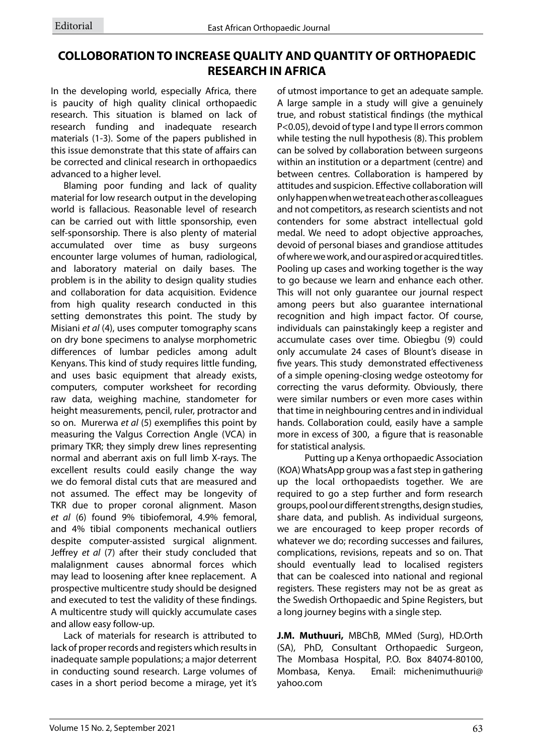## **COLLOBORATION TO INCREASE QUALITY AND QUANTITY OF ORTHOPAEDIC RESEARCH IN AFRICA**

In the developing world, especially Africa, there is paucity of high quality clinical orthopaedic research. This situation is blamed on lack of research funding and inadequate research materials (1-3). Some of the papers published in this issue demonstrate that this state of affairs can be corrected and clinical research in orthopaedics advanced to a higher level.

Blaming poor funding and lack of quality material for low research output in the developing world is fallacious. Reasonable level of research can be carried out with little sponsorship, even self-sponsorship. There is also plenty of material accumulated over time as busy surgeons encounter large volumes of human, radiological, and laboratory material on daily bases. The problem is in the ability to design quality studies and collaboration for data acquisition. Evidence from high quality research conducted in this setting demonstrates this point. The study by Misiani *et al* (4), uses computer tomography scans on dry bone specimens to analyse morphometric differences of lumbar pedicles among adult Kenyans. This kind of study requires little funding, and uses basic equipment that already exists, computers, computer worksheet for recording raw data, weighing machine, standometer for height measurements, pencil, ruler, protractor and so on. Murerwa *et al* (5) exemplifies this point by measuring the Valgus Correction Angle (VCA) in primary TKR; they simply drew lines representing normal and aberrant axis on full limb X-rays. The excellent results could easily change the way we do femoral distal cuts that are measured and not assumed. The effect may be longevity of TKR due to proper coronal alignment. Mason *et al* (6) found 9% tibiofemoral, 4.9% femoral, and 4% tibial components mechanical outliers despite computer-assisted surgical alignment. Jeffrey *et al* (7) after their study concluded that malalignment causes abnormal forces which may lead to loosening after knee replacement. A prospective multicentre study should be designed and executed to test the validity of these findings. A multicentre study will quickly accumulate cases and allow easy follow-up.

Lack of materials for research is attributed to lack of proper records and registers which results in inadequate sample populations; a major deterrent in conducting sound research. Large volumes of cases in a short period become a mirage, yet it's of utmost importance to get an adequate sample. A large sample in a study will give a genuinely true, and robust statistical findings (the mythical P<0.05), devoid of type I and type II errors common while testing the null hypothesis (8). This problem can be solved by collaboration between surgeons within an institution or a department (centre) and between centres. Collaboration is hampered by attitudes and suspicion. Effective collaboration will only happen when we treat each other as colleagues and not competitors, as research scientists and not contenders for some abstract intellectual gold medal. We need to adopt objective approaches, devoid of personal biases and grandiose attitudes of where we work, and our aspired or acquired titles. Pooling up cases and working together is the way to go because we learn and enhance each other. This will not only guarantee our journal respect among peers but also guarantee international recognition and high impact factor. Of course, individuals can painstakingly keep a register and accumulate cases over time. Obiegbu (9) could only accumulate 24 cases of Blount's disease in five years. This study demonstrated effectiveness of a simple opening-closing wedge osteotomy for correcting the varus deformity. Obviously, there were similar numbers or even more cases within that time in neighbouring centres and in individual hands. Collaboration could, easily have a sample more in excess of 300, a figure that is reasonable for statistical analysis.

 Putting up a Kenya orthopaedic Association (KOA) WhatsApp group was a fast step in gathering up the local orthopaedists together. We are required to go a step further and form research groups, pool our different strengths, design studies, share data, and publish. As individual surgeons, we are encouraged to keep proper records of whatever we do; recording successes and failures, complications, revisions, repeats and so on. That should eventually lead to localised registers that can be coalesced into national and regional registers. These registers may not be as great as the Swedish Orthopaedic and Spine Registers, but a long journey begins with a single step.

**J.M. Muthuuri,** MBChB, MMed (Surg), HD.Orth (SA), PhD, Consultant Orthopaedic Surgeon, The Mombasa Hospital, P.O. Box 84074-80100, Mombasa, Kenya. Email: michenimuthuuri@ yahoo.com